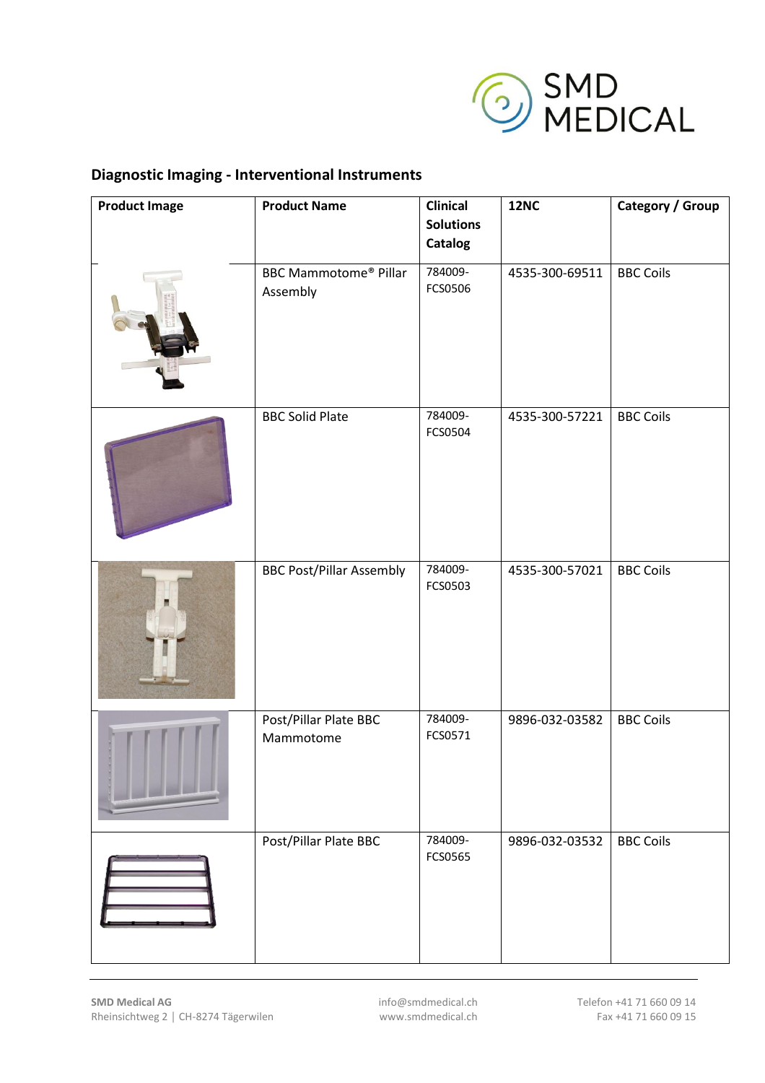

## **Diagnostic Imaging - Interventional Instruments**

| <b>Product Image</b> | <b>Product Name</b>                      | <b>Clinical</b><br><b>Solutions</b> | <b>12NC</b>    | Category / Group |
|----------------------|------------------------------------------|-------------------------------------|----------------|------------------|
|                      |                                          | <b>Catalog</b>                      |                |                  |
|                      | <b>BBC Mammotome® Pillar</b><br>Assembly | 784009-<br>FCS0506                  | 4535-300-69511 | <b>BBC Coils</b> |
|                      | <b>BBC Solid Plate</b>                   | 784009-<br>FCS0504                  | 4535-300-57221 | <b>BBC Coils</b> |
|                      | <b>BBC Post/Pillar Assembly</b>          | 784009-<br>FCS0503                  | 4535-300-57021 | <b>BBC Coils</b> |
|                      | Post/Pillar Plate BBC<br>Mammotome       | 784009-<br>FCS0571                  | 9896-032-03582 | <b>BBC Coils</b> |
|                      | Post/Pillar Plate BBC                    | 784009-<br>FCS0565                  | 9896-032-03532 | <b>BBC Coils</b> |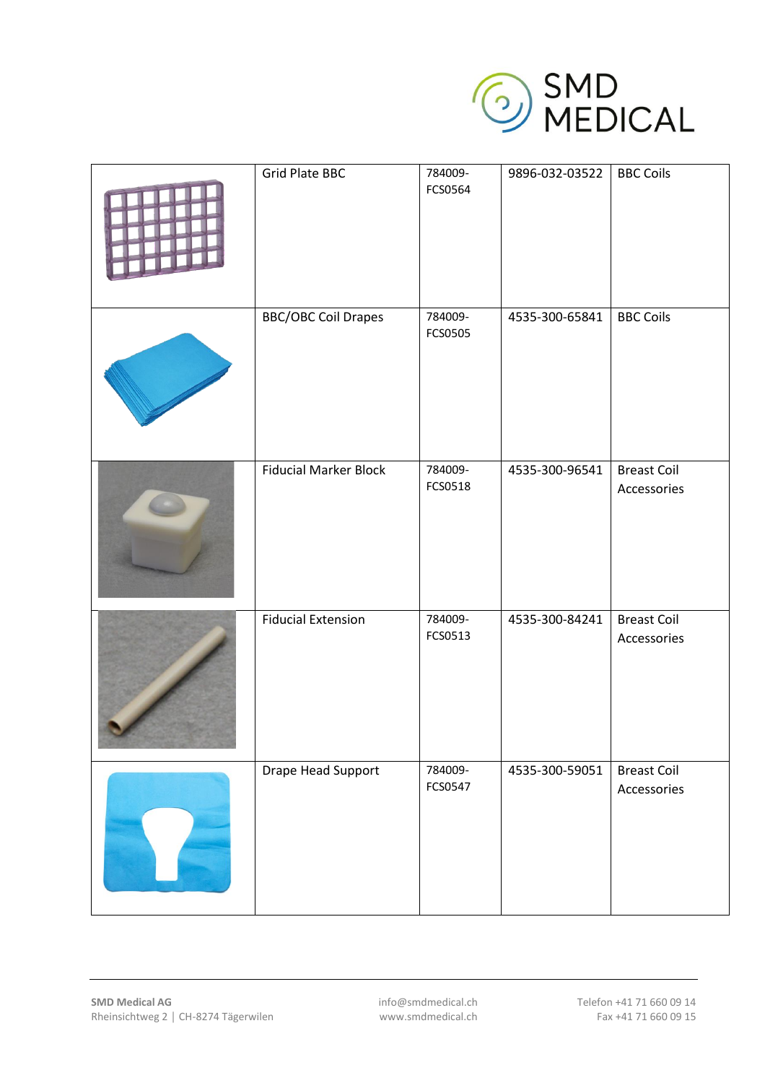

| <b>Grid Plate BBC</b>        | 784009-<br>FCS0564 | 9896-032-03522 | <b>BBC Coils</b>                  |
|------------------------------|--------------------|----------------|-----------------------------------|
| <b>BBC/OBC Coil Drapes</b>   | 784009-<br>FCS0505 | 4535-300-65841 | <b>BBC Coils</b>                  |
| <b>Fiducial Marker Block</b> | 784009-<br>FCS0518 | 4535-300-96541 | <b>Breast Coil</b><br>Accessories |
| <b>Fiducial Extension</b>    | 784009-<br>FCS0513 | 4535-300-84241 | <b>Breast Coil</b><br>Accessories |
| Drape Head Support           | 784009-<br>FCS0547 | 4535-300-59051 | <b>Breast Coil</b><br>Accessories |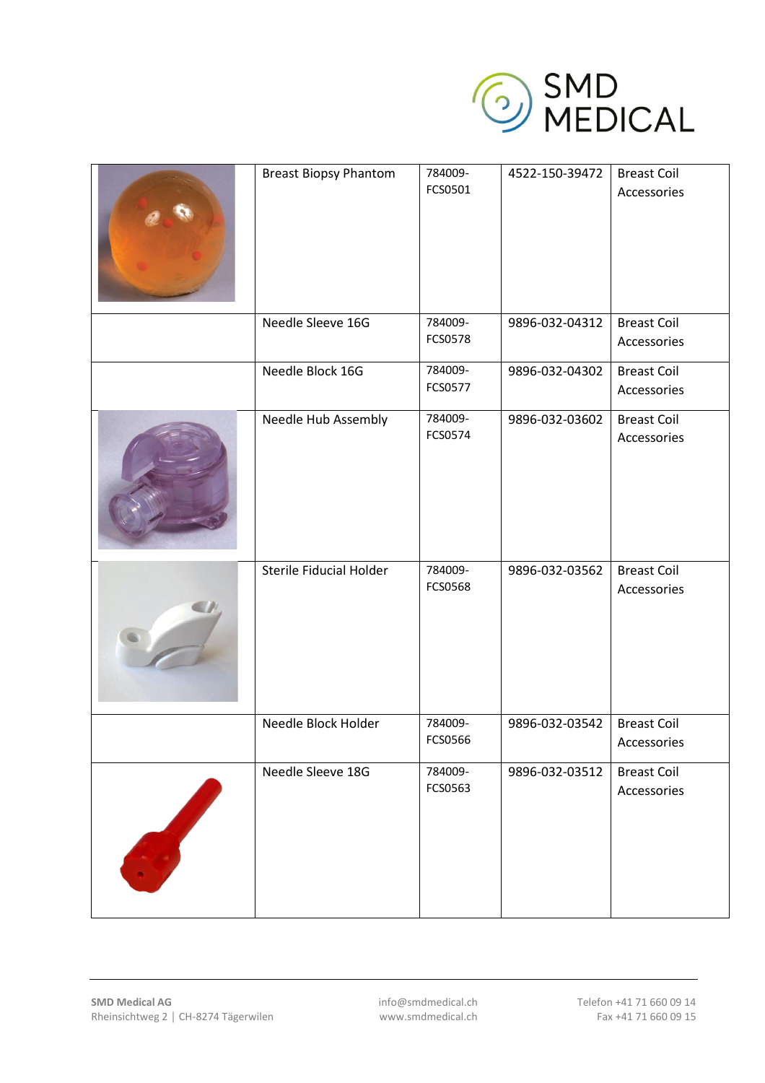

| <b>Breast Biopsy Phantom</b> | 784009-<br>FCS0501 | 4522-150-39472 | <b>Breast Coil</b><br>Accessories |
|------------------------------|--------------------|----------------|-----------------------------------|
| Needle Sleeve 16G            | 784009-<br>FCS0578 | 9896-032-04312 | <b>Breast Coil</b><br>Accessories |
| Needle Block 16G             | 784009-<br>FCS0577 | 9896-032-04302 | <b>Breast Coil</b><br>Accessories |
| Needle Hub Assembly          | 784009-<br>FCS0574 | 9896-032-03602 | <b>Breast Coil</b><br>Accessories |
| Sterile Fiducial Holder      | 784009-<br>FCS0568 | 9896-032-03562 | <b>Breast Coil</b><br>Accessories |
| Needle Block Holder          | 784009-<br>FCS0566 | 9896-032-03542 | <b>Breast Coil</b><br>Accessories |
| Needle Sleeve 18G            | 784009-<br>FCS0563 | 9896-032-03512 | <b>Breast Coil</b><br>Accessories |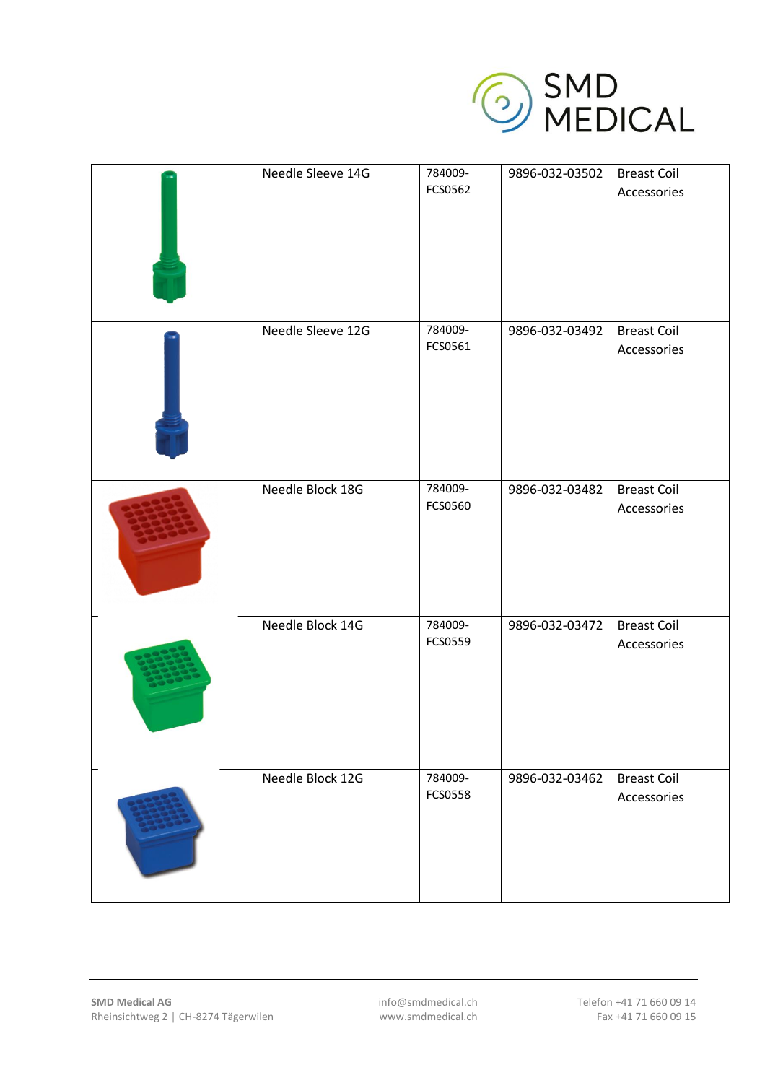

| Needle Sleeve 14G | 784009-<br>FCS0562 | 9896-032-03502 | <b>Breast Coil</b><br>Accessories |
|-------------------|--------------------|----------------|-----------------------------------|
| Needle Sleeve 12G | 784009-<br>FCS0561 | 9896-032-03492 | <b>Breast Coil</b><br>Accessories |
| Needle Block 18G  | 784009-<br>FCS0560 | 9896-032-03482 | <b>Breast Coil</b><br>Accessories |
| Needle Block 14G  | 784009-<br>FCS0559 | 9896-032-03472 | <b>Breast Coil</b><br>Accessories |
| Needle Block 12G  | 784009-<br>FCS0558 | 9896-032-03462 | <b>Breast Coil</b><br>Accessories |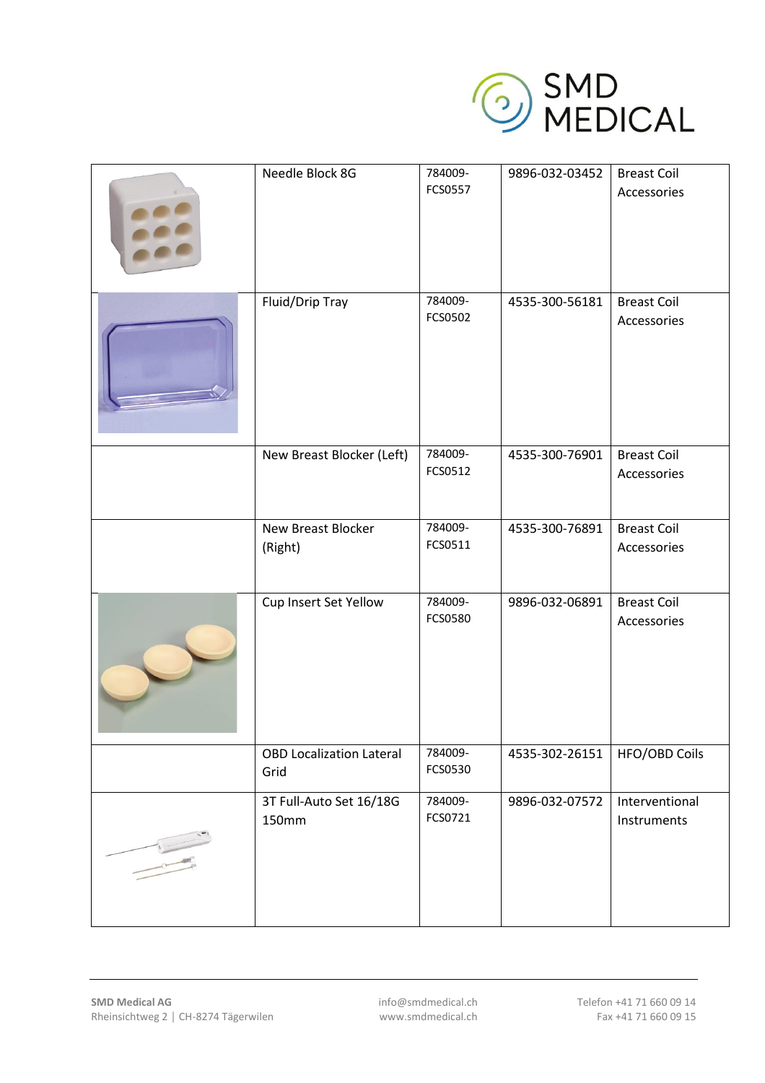

| Needle Block 8G                         | 784009-<br>FCS0557 | 9896-032-03452 | <b>Breast Coil</b><br>Accessories |
|-----------------------------------------|--------------------|----------------|-----------------------------------|
| Fluid/Drip Tray                         | 784009-<br>FCS0502 | 4535-300-56181 | <b>Breast Coil</b><br>Accessories |
| New Breast Blocker (Left)               | 784009-<br>FCS0512 | 4535-300-76901 | <b>Breast Coil</b><br>Accessories |
| New Breast Blocker<br>(Right)           | 784009-<br>FCS0511 | 4535-300-76891 | <b>Breast Coil</b><br>Accessories |
| Cup Insert Set Yellow                   | 784009-<br>FCS0580 | 9896-032-06891 | <b>Breast Coil</b><br>Accessories |
| <b>OBD Localization Lateral</b><br>Grid | 784009-<br>FCS0530 | 4535-302-26151 | HFO/OBD Coils                     |
| 3T Full-Auto Set 16/18G<br>150mm        | 784009-<br>FCS0721 | 9896-032-07572 | Interventional<br>Instruments     |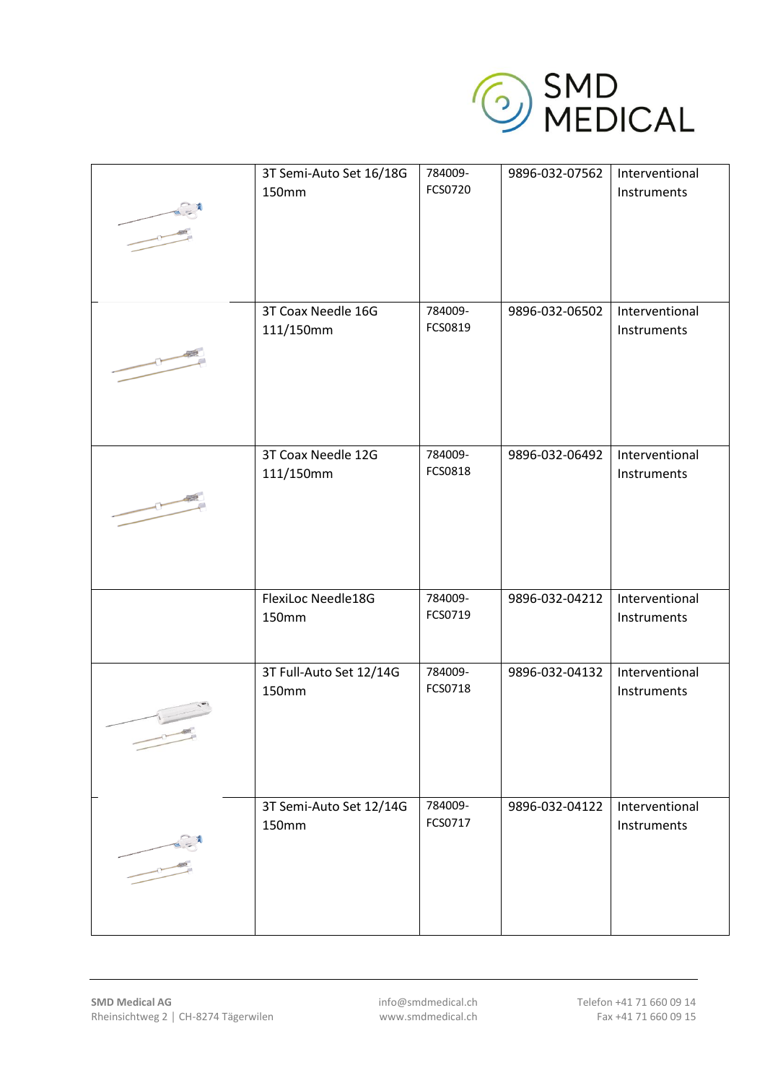

| 3T Semi-Auto Set 16/18G<br>150mm | 784009-<br>FCS0720 | 9896-032-07562 | Interventional<br>Instruments |
|----------------------------------|--------------------|----------------|-------------------------------|
| 3T Coax Needle 16G<br>111/150mm  | 784009-<br>FCS0819 | 9896-032-06502 | Interventional<br>Instruments |
| 3T Coax Needle 12G<br>111/150mm  | 784009-<br>FCS0818 | 9896-032-06492 | Interventional<br>Instruments |
| FlexiLoc Needle18G<br>150mm      | 784009-<br>FCS0719 | 9896-032-04212 | Interventional<br>Instruments |
| 3T Full-Auto Set 12/14G<br>150mm | 784009-<br>FCS0718 | 9896-032-04132 | Interventional<br>Instruments |
| 3T Semi-Auto Set 12/14G<br>150mm | 784009-<br>FCS0717 | 9896-032-04122 | Interventional<br>Instruments |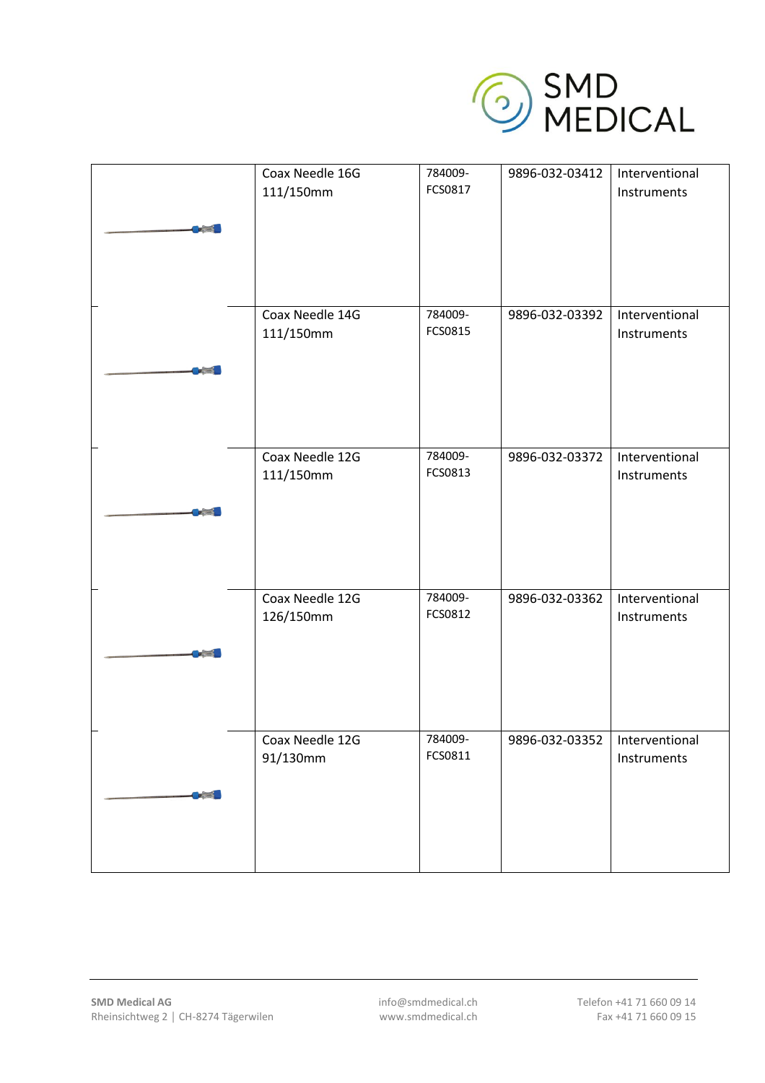

|       | Coax Needle 16G<br>111/150mm | 784009-<br>FCS0817 | 9896-032-03412                  | Interventional<br>Instruments |
|-------|------------------------------|--------------------|---------------------------------|-------------------------------|
|       | Coax Needle 14G<br>111/150mm | 784009-<br>FCS0815 | 9896-032-03392                  | Interventional<br>Instruments |
|       | Coax Needle 12G<br>111/150mm | 784009-<br>FCS0813 | 9896-032-03372                  | Interventional<br>Instruments |
|       | Coax Needle 12G<br>126/150mm | 784009-<br>FCS0812 | 9896-032-03362                  | Interventional<br>Instruments |
| $p =$ | Coax Needle 12G<br>91/130mm  | 784009-<br>FCS0811 | 9896-032-03352   Interventional | Instruments                   |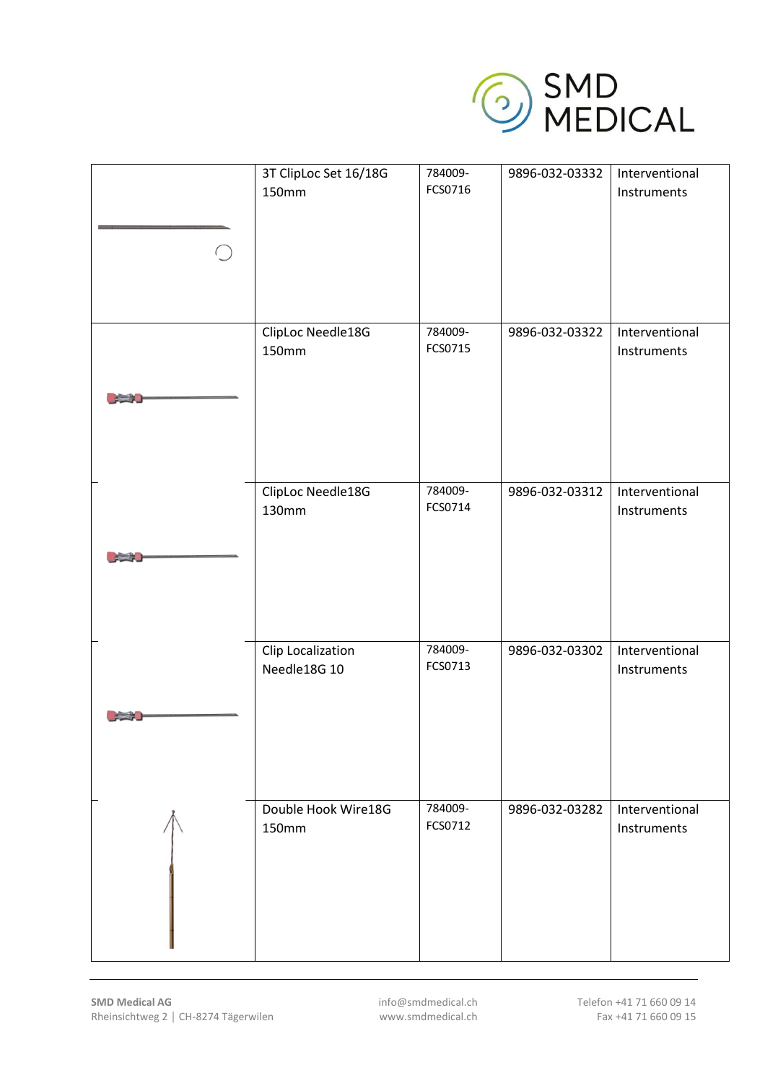

| 3T ClipLoc Set 16/18G<br>150mm    | 784009-<br>FCS0716 | 9896-032-03332 | Interventional<br>Instruments |
|-----------------------------------|--------------------|----------------|-------------------------------|
| ClipLoc Needle18G<br>150mm        | 784009-<br>FCS0715 | 9896-032-03322 | Interventional<br>Instruments |
| ClipLoc Needle18G<br>130mm        | 784009-<br>FCS0714 | 9896-032-03312 | Interventional<br>Instruments |
| Clip Localization<br>Needle18G 10 | 784009-<br>FCS0713 | 9896-032-03302 | Interventional<br>Instruments |
| Double Hook Wire18G<br>150mm      | 784009-<br>FCS0712 | 9896-032-03282 | Interventional<br>Instruments |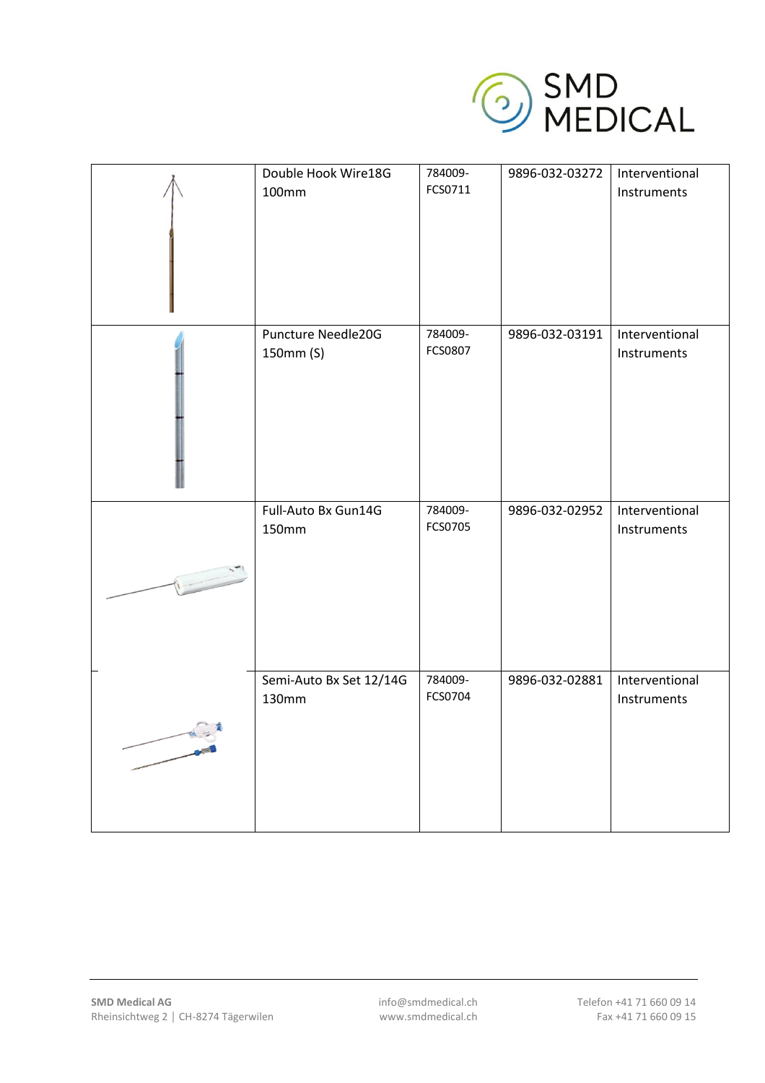

| Double Hook Wire18G<br>100mm     | 784009-<br>FCS0711 | 9896-032-03272 | Interventional<br>Instruments |
|----------------------------------|--------------------|----------------|-------------------------------|
| Puncture Needle20G<br>150mm (S)  | 784009-<br>FCS0807 | 9896-032-03191 | Interventional<br>Instruments |
| Full-Auto Bx Gun14G<br>150mm     | 784009-<br>FCS0705 | 9896-032-02952 | Interventional<br>Instruments |
| Semi-Auto Bx Set 12/14G<br>130mm | 784009-<br>FCS0704 | 9896-032-02881 | Interventional<br>Instruments |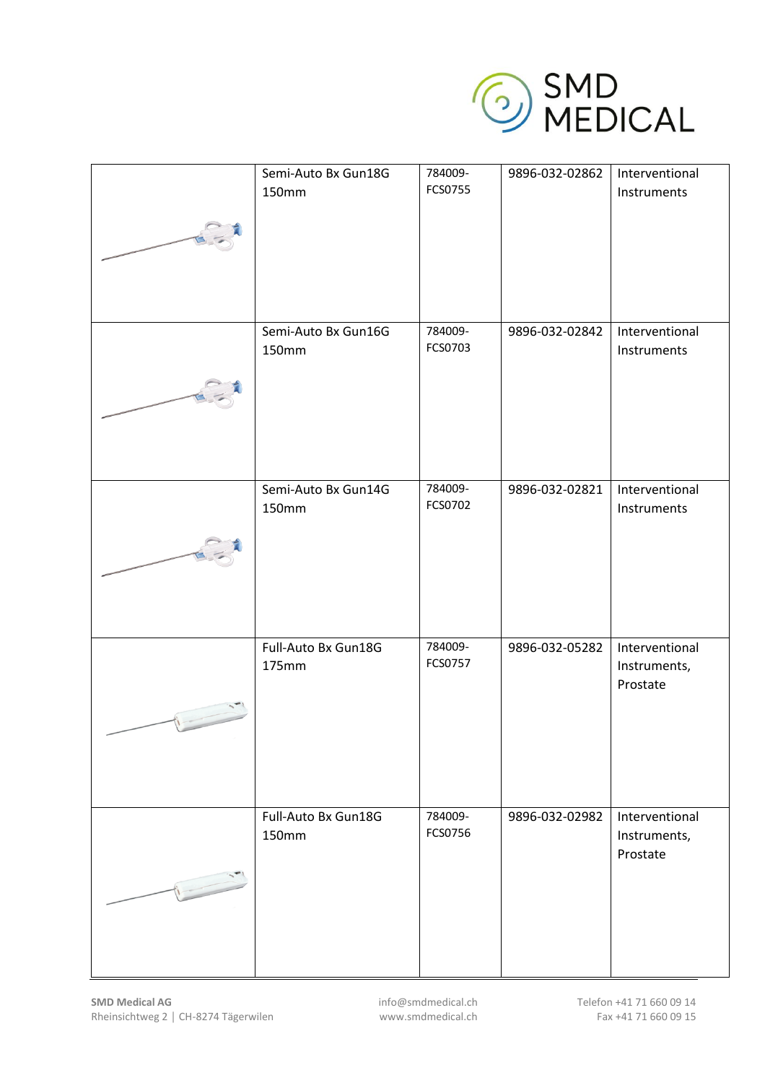

|               | Semi-Auto Bx Gun18G<br>150mm | 784009-<br>FCS0755 | 9896-032-02862 | Interventional<br>Instruments              |
|---------------|------------------------------|--------------------|----------------|--------------------------------------------|
|               | Semi-Auto Bx Gun16G<br>150mm | 784009-<br>FCS0703 | 9896-032-02842 | Interventional<br>Instruments              |
|               | Semi-Auto Bx Gun14G<br>150mm | 784009-<br>FCS0702 | 9896-032-02821 | Interventional<br>Instruments              |
|               | Full-Auto Bx Gun18G<br>175mm | 784009-<br>FCS0757 | 9896-032-05282 | Interventional<br>Instruments,<br>Prostate |
| $\frac{1}{2}$ | Full-Auto Bx Gun18G<br>150mm | 784009-<br>FCS0756 | 9896-032-02982 | Interventional<br>Instruments,<br>Prostate |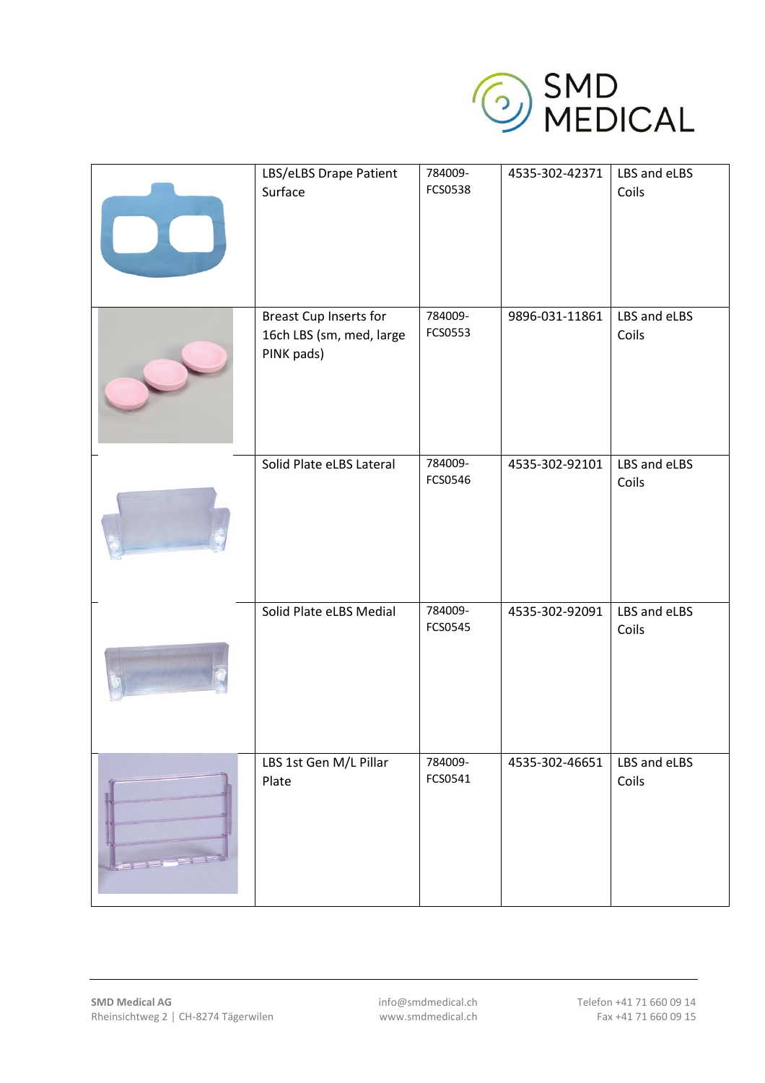

| LBS/eLBS Drape Patient<br>Surface                                | 784009-<br>FCS0538 | 4535-302-42371 | LBS and eLBS<br>Coils |
|------------------------------------------------------------------|--------------------|----------------|-----------------------|
| Breast Cup Inserts for<br>16ch LBS (sm, med, large<br>PINK pads) | 784009-<br>FCS0553 | 9896-031-11861 | LBS and eLBS<br>Coils |
| Solid Plate eLBS Lateral                                         | 784009-<br>FCS0546 | 4535-302-92101 | LBS and eLBS<br>Coils |
| Solid Plate eLBS Medial                                          | 784009-<br>FCS0545 | 4535-302-92091 | LBS and eLBS<br>Coils |
| LBS 1st Gen M/L Pillar<br>Plate                                  | 784009-<br>FCS0541 | 4535-302-46651 | LBS and eLBS<br>Coils |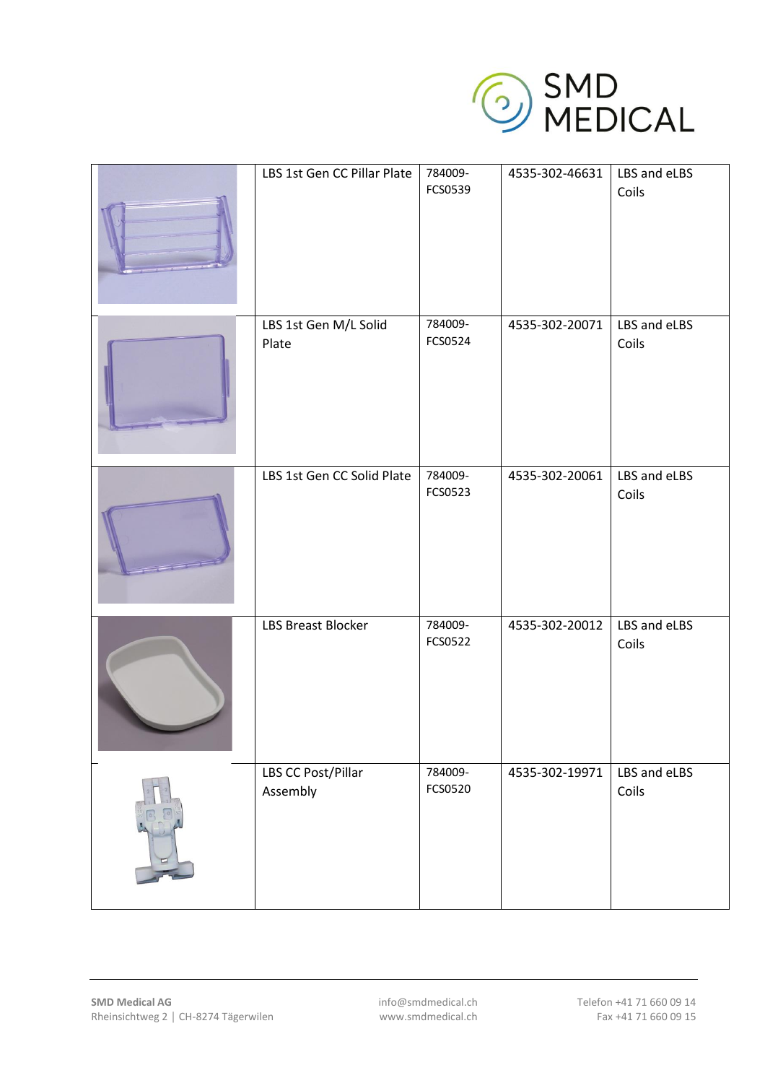

| LBS 1st Gen CC Pillar Plate    | 784009-<br>FCS0539 | 4535-302-46631 | LBS and eLBS<br>Coils |
|--------------------------------|--------------------|----------------|-----------------------|
| LBS 1st Gen M/L Solid<br>Plate | 784009-<br>FCS0524 | 4535-302-20071 | LBS and eLBS<br>Coils |
| LBS 1st Gen CC Solid Plate     | 784009-<br>FCS0523 | 4535-302-20061 | LBS and eLBS<br>Coils |
| <b>LBS Breast Blocker</b>      | 784009-<br>FCS0522 | 4535-302-20012 | LBS and eLBS<br>Coils |
| LBS CC Post/Pillar<br>Assembly | 784009-<br>FCS0520 | 4535-302-19971 | LBS and eLBS<br>Coils |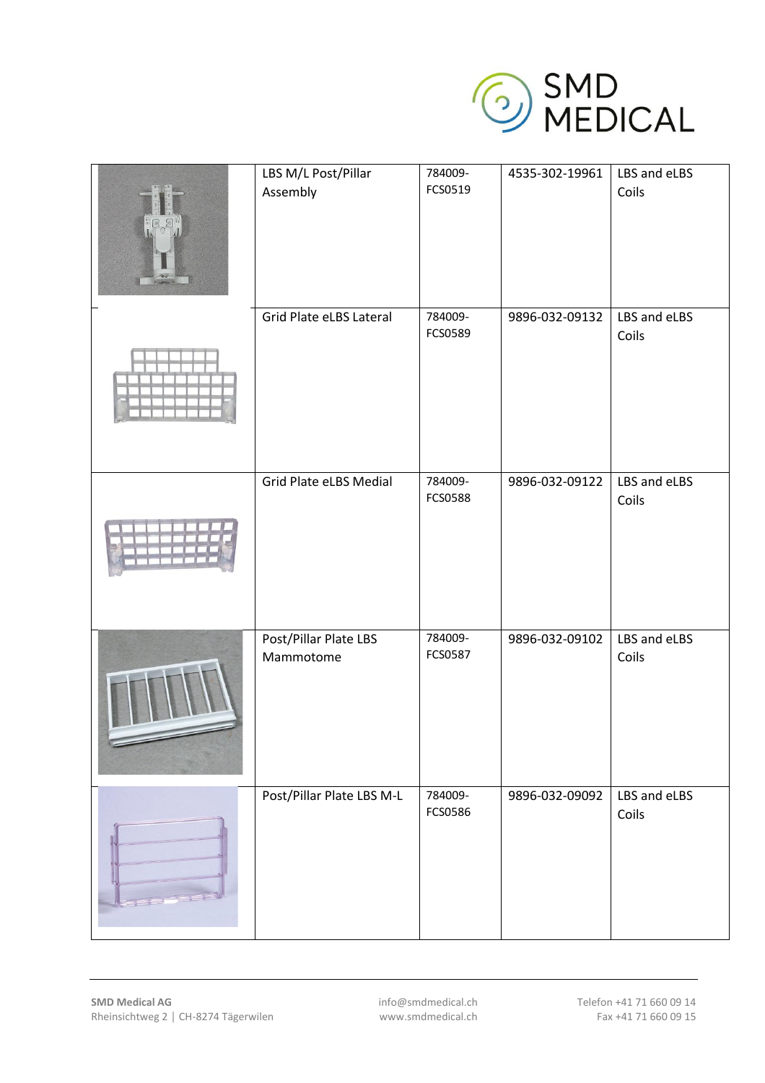

| LBS M/L Post/Pillar<br>Assembly    | 784009-<br>FCS0519 | 4535-302-19961 | LBS and eLBS<br>Coils |
|------------------------------------|--------------------|----------------|-----------------------|
| Grid Plate eLBS Lateral            | 784009-            | 9896-032-09132 | LBS and eLBS          |
|                                    | FCS0589            |                | Coils                 |
| Grid Plate eLBS Medial             | 784009-<br>FCS0588 | 9896-032-09122 | LBS and eLBS<br>Coils |
| Post/Pillar Plate LBS<br>Mammotome | 784009-<br>FCS0587 | 9896-032-09102 | LBS and eLBS<br>Coils |
| Post/Pillar Plate LBS M-L          | 784009-<br>FCS0586 | 9896-032-09092 | LBS and eLBS<br>Coils |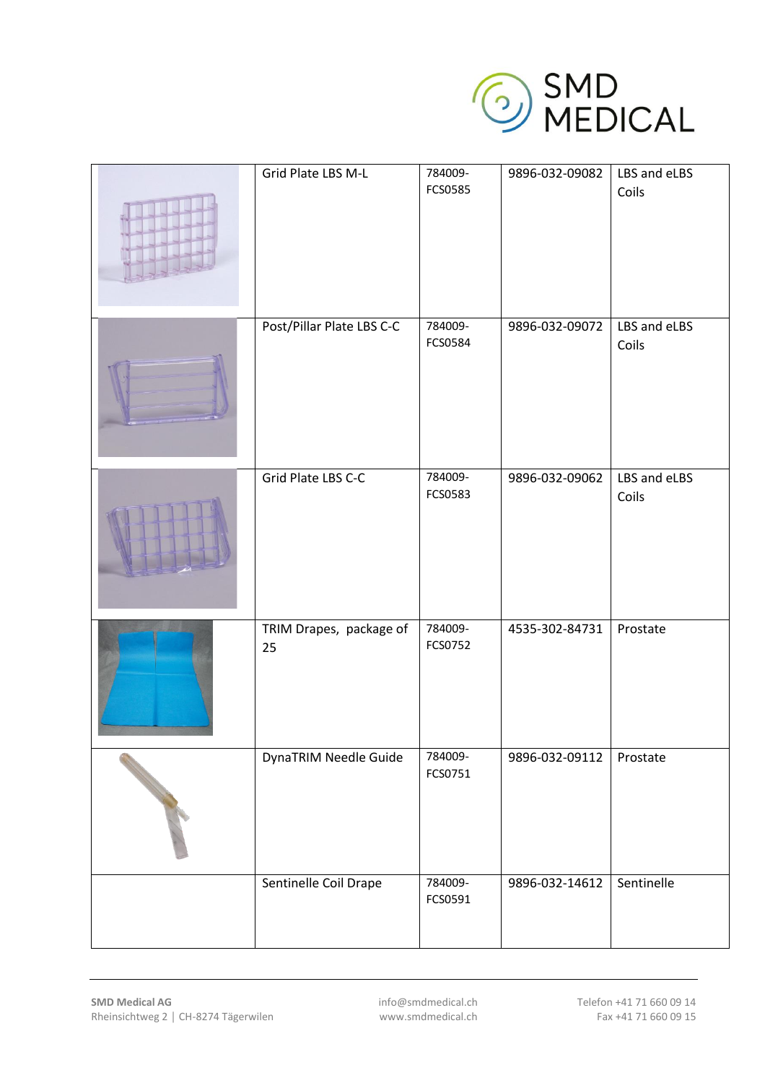

| Grid Plate LBS M-L            | 784009-<br>FCS0585 | 9896-032-09082 | LBS and eLBS<br>Coils |
|-------------------------------|--------------------|----------------|-----------------------|
| Post/Pillar Plate LBS C-C     | 784009-<br>FCS0584 | 9896-032-09072 | LBS and eLBS<br>Coils |
| Grid Plate LBS C-C            | 784009-<br>FCS0583 | 9896-032-09062 | LBS and eLBS<br>Coils |
| TRIM Drapes, package of<br>25 | 784009-<br>FCS0752 | 4535-302-84731 | Prostate              |
| DynaTRIM Needle Guide         | 784009-<br>FCS0751 | 9896-032-09112 | Prostate              |
| Sentinelle Coil Drape         | 784009-<br>FCS0591 | 9896-032-14612 | Sentinelle            |